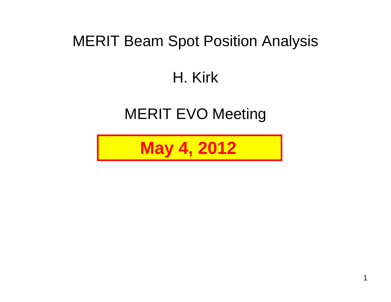### MERIT Beam Spot Position Analysis

### H. Kirk

### MERIT EVO Meeting

**May 4, 2012**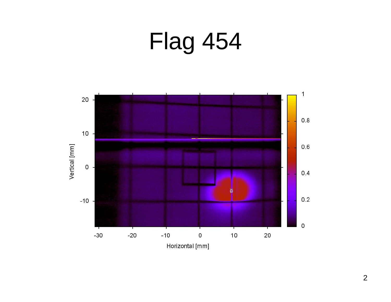# Flag 454

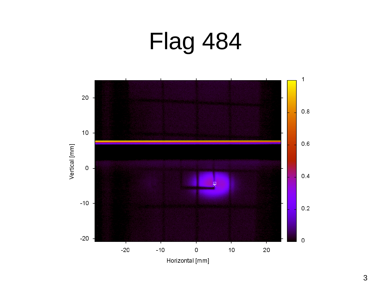# Flag 484

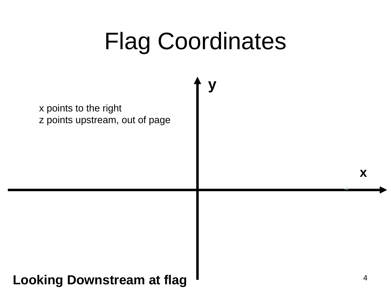# Flag Coordinates

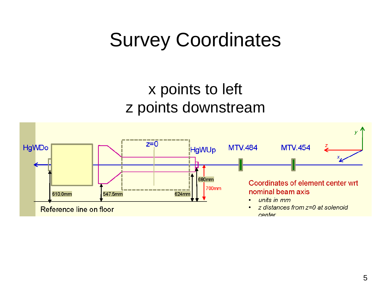### Survey Coordinates

### x points to left z points downstream

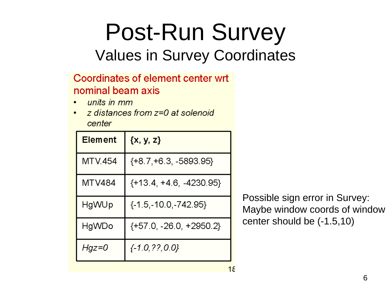# Post-Run Survey

### Values in Survey Coordinates

#### Coordinates of element center wrt nominal beam axis

- units in mm
- z distances from z=0 at solenoid center

| <b>Element</b> | $\{x, y, z\}$           |
|----------------|-------------------------|
| <b>MTV.454</b> | {+8.7,+6.3, -5893.95}   |
| <b>MTV484</b>  | {+13.4, +4.6, -4230.95} |
| HgWUp          | {-1.5,-10.0,-742.95}    |
| HgWDo          | {+57.0, -26.0, +2950.2} |
| Hgz=0          | $\{-1.0, ??, 0.0\}$     |

Possible sign error in Survey: Maybe window coords of window center should be (-1.5,10)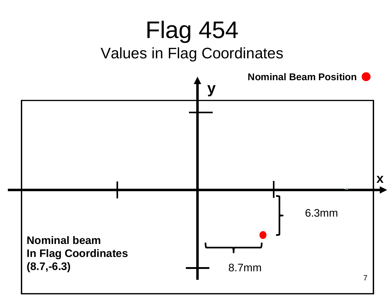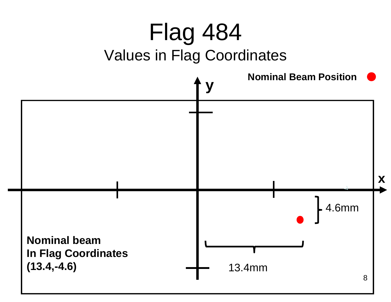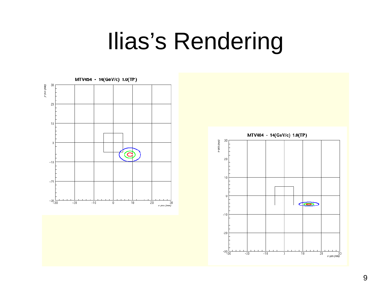### Ilias's Rendering



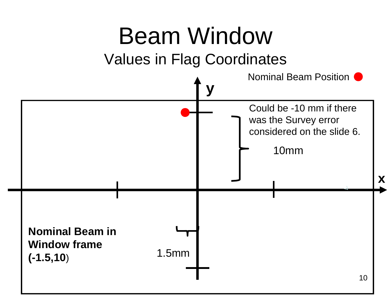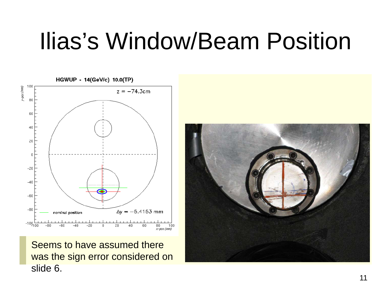### Ilias's Window/Beam Position



Seems to have assumed therewas the sign error considered on slide 6.

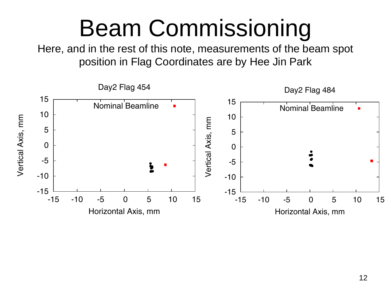### Beam Commissioning

Here, and in the rest of this note, measurements of the beam spot position in Flag Coordinates are by Hee Jin Park

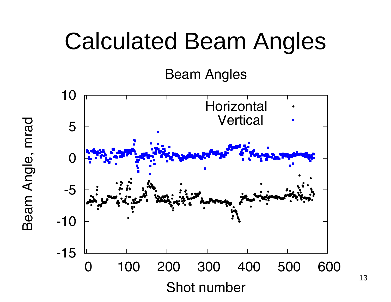### Calculated Beam Angles

Beam Angles



Beam Angle, mrad Beam Angle, mrad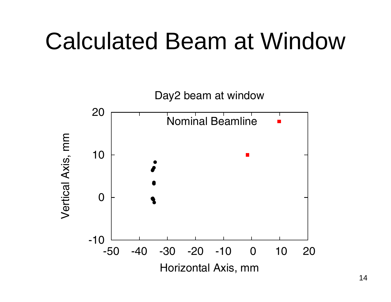### Calculated Beam at Window

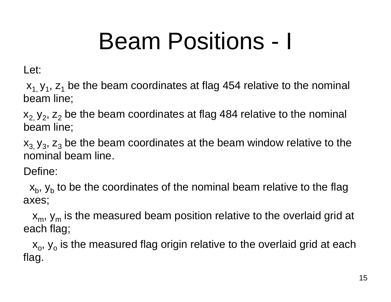# Beam Positions - I

Let:

 $\mathsf{x}_{\mathtt{1},\mathtt{V}_{\mathtt{1}}},$   $\mathsf{z}_{\mathtt{1}}$  be the beam coordinates at flag 454 relative to the nominal beam line;

 $\mathsf{x}_{2\text{,}}\, \mathsf{y}_{2\text{,}}\, \mathsf{z}_{2}$  be the beam coordinates at flag 484 relative to the nominal beam line;

 $\mathsf{x}_{3\mathbf{,}}\, \mathsf{y}_{3\mathbf{,}}\, \mathsf{z}_{3}$  be the beam coordinates at the beam window relative to the nominal beam line.

Define:

 $\mathsf{x}_\mathsf{b}$ ,  $\mathsf{y}_\mathsf{b}$  to be the coordinates of the nominal beam relative to the flag axes;

 $\mathsf{x}_{\mathsf{m}},\, \mathsf{y}_{\mathsf{m}}$  is the measured beam position relative to the overlaid grid at each flag;

 $\mathsf{x}_{\textup{o}},\mathsf{y}_{\textup{o}}$  is the measured flag origin relative to the overlaid grid at each flag.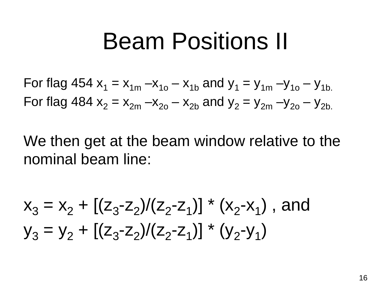### Beam Positions II

For flag 454  $x^{}_{1} = x^{}_{1\rm m}$  – $x^{}_{1\rm o}$  –  $x^{}_{1\rm b}$  and  $y^{}_{1} = y^{}_{1\rm m}$  – $y^{}_{1\rm o}$  –  $y^{}_{1\rm b}$ For flag 484  $\rm{x}^{}_{2}$  =  $\rm{x}^{}_{2m}$  – $\rm{x}^{}_{2o}$  –  $\rm{x}^{}_{2b}$  and  $\rm{y}^{}_{2}$  =  $\rm{y}^{}_{2m}$  – $\rm{y}^{}_{2o}$  –  $\rm{y}^{}_{2b}$ 

We then get at the beam window relative to the nominal beam line:

$$
x_3 = x_2 + [(z_3 - z_2)/(z_2 - z_1)] * (x_2 - x_1), \text{ and}
$$
  
\n
$$
y_3 = y_2 + [(z_3 - z_2)/(z_2 - z_1)] * (y_2 - y_1)
$$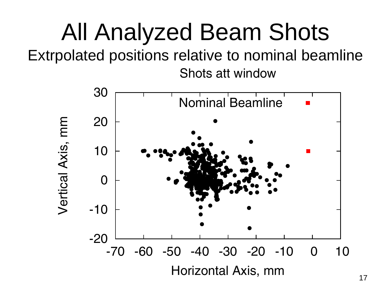# All Analyzed Beam Shots

Extrpolated positions relative to nominal beamline Shots att window